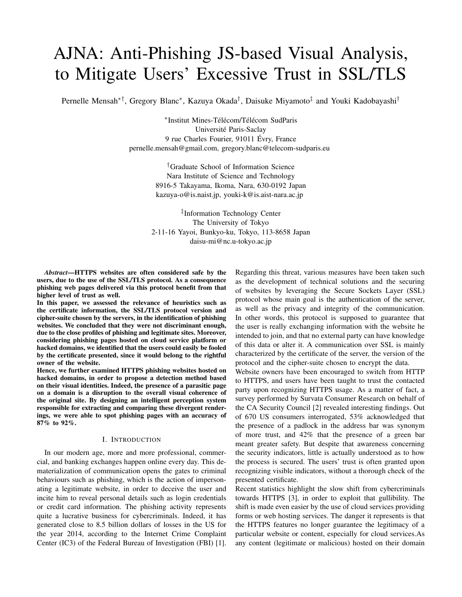# AJNA: Anti-Phishing JS-based Visual Analysis, to Mitigate Users' Excessive Trust in SSL/TLS

Pernelle Mensah<sup>∗†</sup>, Gregory Blanc<sup>∗</sup>, Kazuya Okada<sup>†</sup>, Daisuke Miyamoto<sup>‡</sup> and Youki Kadobayashi<sup>†</sup>

∗ Institut Mines-Télécom/Télécom SudParis Université Paris-Saclay 9 rue Charles Fourier, 91011 Évry, France pernelle.mensah@gmail.com, gregory.blanc@telecom-sudparis.eu

> †Graduate School of Information Science Nara Institute of Science and Technology 8916-5 Takayama, Ikoma, Nara, 630-0192 Japan kazuya-o@is.naist.jp, youki-k@is.aist-nara.ac.jp

‡ Information Technology Center The University of Tokyo 2-11-16 Yayoi, Bunkyo-ku, Tokyo, 113-8658 Japan daisu-mi@nc.u-tokyo.ac.jp

*Abstract*—HTTPS websites are often considered safe by the users, due to the use of the SSL/TLS protocol. As a consequence phishing web pages delivered via this protocol benefit from that higher level of trust as well.

In this paper, we assessed the relevance of heuristics such as the certificate information, the SSL/TLS protocol version and cipher-suite chosen by the servers, in the identification of phishing websites. We concluded that they were not discriminant enough, due to the close profiles of phishing and legitimate sites. Moreover, considering phishing pages hosted on cloud service platform or hacked domains, we identified that the users could easily be fooled by the certificate presented, since it would belong to the rightful owner of the website.

Hence, we further examined HTTPS phishing websites hosted on hacked domains, in order to propose a detection method based on their visual identities. Indeed, the presence of a parasitic page on a domain is a disruption to the overall visual coherence of the original site. By designing an intelligent perception system responsible for extracting and comparing these divergent renderings, we were able to spot phishing pages with an accuracy of 87% to 92%.

# I. INTRODUCTION

In our modern age, more and more professional, commercial, and banking exchanges happen online every day. This dematerialization of communication opens the gates to criminal behaviours such as phishing, which is the action of impersonating a legitimate website, in order to deceive the user and incite him to reveal personal details such as login credentials or credit card information. The phishing activity represents quite a lucrative business for cybercriminals. Indeed, it has generated close to 8.5 billion dollars of losses in the US for the year 2014, according to the Internet Crime Complaint Center (IC3) of the Federal Bureau of Investigation (FBI) [1].

Regarding this threat, various measures have been taken such as the development of technical solutions and the securing of websites by leveraging the Secure Sockets Layer (SSL) protocol whose main goal is the authentication of the server, as well as the privacy and integrity of the communication. In other words, this protocol is supposed to guarantee that the user is really exchanging information with the website he intended to join, and that no external party can have knowledge of this data or alter it. A communication over SSL is mainly characterized by the certificate of the server, the version of the protocol and the cipher-suite chosen to encrypt the data.

Website owners have been encouraged to switch from HTTP to HTTPS, and users have been taught to trust the contacted party upon recognizing HTTPS usage. As a matter of fact, a survey performed by Survata Consumer Research on behalf of the CA Security Council [2] revealed interesting findings. Out of 670 US consumers interrogated, 53% acknowledged that the presence of a padlock in the address bar was synonym of more trust, and 42% that the presence of a green bar meant greater safety. But despite that awareness concerning the security indicators, little is actually understood as to how the process is secured. The users' trust is often granted upon recognizing visible indicators, without a thorough check of the presented certificate.

Recent statistics highlight the slow shift from cybercriminals towards HTTPS [3], in order to exploit that gullibility. The shift is made even easier by the use of cloud services providing forms or web hosting services. The danger it represents is that the HTTPS features no longer guarantee the legitimacy of a particular website or content, especially for cloud services.As any content (legitimate or malicious) hosted on their domain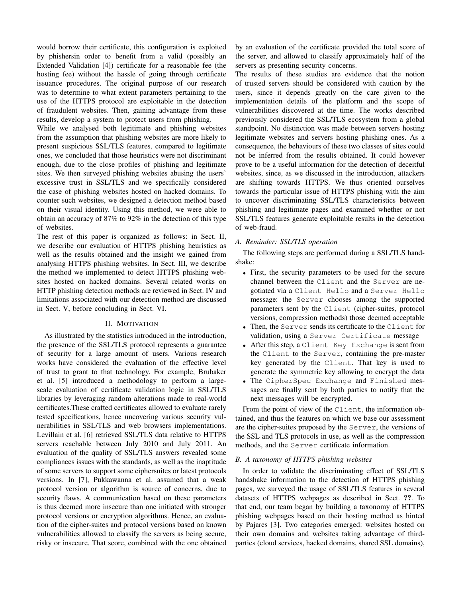would borrow their certificate, this configuration is exploited by phishersin order to benefit from a valid (possibly an Extended Validation [4]) certificate for a reasonable fee (the hosting fee) without the hassle of going through certificate issuance procedures. The original purpose of our research was to determine to what extent parameters pertaining to the use of the HTTPS protocol are exploitable in the detection of fraudulent websites. Then, gaining advantage from these results, develop a system to protect users from phishing.

While we analysed both legitimate and phishing websites from the assumption that phishing websites are more likely to present suspicious SSL/TLS features, compared to legitimate ones, we concluded that those heuristics were not discriminant enough, due to the close profiles of phishing and legitimate sites. We then surveyed phishing websites abusing the users' excessive trust in SSL/TLS and we specifically considered the case of phishing websites hosted on hacked domains. To counter such websites, we designed a detection method based on their visual identity. Using this method, we were able to obtain an accuracy of 87% to 92% in the detection of this type of websites.

The rest of this paper is organized as follows: in Sect. II, we describe our evaluation of HTTPS phishing heuristics as well as the results obtained and the insight we gained from analysing HTTPS phishing websites. In Sect. III, we describe the method we implemented to detect HTTPS phishing websites hosted on hacked domains. Several related works on HTTP phishing detection methods are reviewed in Sect. IV and limitations associated with our detection method are discussed in Sect. V, before concluding in Sect. VI.

## II. MOTIVATION

As illustrated by the statistics introduced in the introduction, the presence of the SSL/TLS protocol represents a guarantee of security for a large amount of users. Various research works have considered the evaluation of the effective level of trust to grant to that technology. For example, Brubaker et al. [5] introduced a methodology to perform a largescale evaluation of certificate validation logic in SSL/TLS libraries by leveraging random alterations made to real-world certificates.These crafted certificates allowed to evaluate rarely tested specifications, hence uncovering various security vulnerabilities in SSL/TLS and web browsers implementations. Levillain et al. [6] retrieved SSL/TLS data relative to HTTPS servers reachable between July 2010 and July 2011. An evaluation of the quality of SSL/TLS answers revealed some compliances issues with the standards, as well as the inaptitude of some servers to support some ciphersuites or latest protocols versions. In [7], Pukkawanna et al. assumed that a weak protocol version or algorithm is source of concerns, due to security flaws. A communication based on these parameters is thus deemed more insecure than one initiated with stronger protocol versions or encryption algorithms. Hence, an evaluation of the cipher-suites and protocol versions based on known vulnerabilities allowed to classify the servers as being secure, risky or insecure. That score, combined with the one obtained by an evaluation of the certificate provided the total score of the server, and allowed to classify approximately half of the servers as presenting security concerns.

The results of these studies are evidence that the notion of trusted servers should be considered with caution by the users, since it depends greatly on the care given to the implementation details of the platform and the scope of vulnerabilities discovered at the time. The works described previously considered the SSL/TLS ecosystem from a global standpoint. No distinction was made between servers hosting legitimate websites and servers hosting phishing ones. As a consequence, the behaviours of these two classes of sites could not be inferred from the results obtained. It could however prove to be a useful information for the detection of deceitful websites, since, as we discussed in the introduction, attackers are shifting towards HTTPS. We thus oriented ourselves towards the particular issue of HTTPS phishing with the aim to uncover discriminating SSL/TLS characteristics between phishing and legitimate pages and examined whether or not SSL/TLS features generate exploitable results in the detection of web-fraud.

#### *A. Reminder: SSL/TLS operation*

The following steps are performed during a SSL/TLS handshake:

- First, the security parameters to be used for the secure channel between the Client and the Server are negotiated via a Client Hello and a Server Hello message: the Server chooses among the supported parameters sent by the Client (cipher-suites, protocol versions, compression methods) those deemed acceptable
- Then, the Server sends its certificate to the Client for validation, using a Server Certificate message
- After this step, a Client Key Exchange is sent from the Client to the Server, containing the pre-master key generated by the Client. That key is used to generate the symmetric key allowing to encrypt the data
- The CipherSpec Exchange and Finished messages are finally sent by both parties to notify that the next messages will be encrypted.

From the point of view of the Client, the information obtained, and thus the features on which we base our assessment are the cipher-suites proposed by the Server, the versions of the SSL and TLS protocols in use, as well as the compression methods, and the Server certificate information.

# *B. A taxonomy of HTTPS phishing websites*

In order to validate the discriminating effect of SSL/TLS handshake information to the detection of HTTPS phishing pages, we surveyed the usage of SSL/TLS features in several datasets of HTTPS webpages as described in Sect. ??. To that end, our team began by building a taxonomy of HTTPS phishing webpages based on their hosting method as hinted by Pajares [3]. Two categories emerged: websites hosted on their own domains and websites taking advantage of thirdparties (cloud services, hacked domains, shared SSL domains),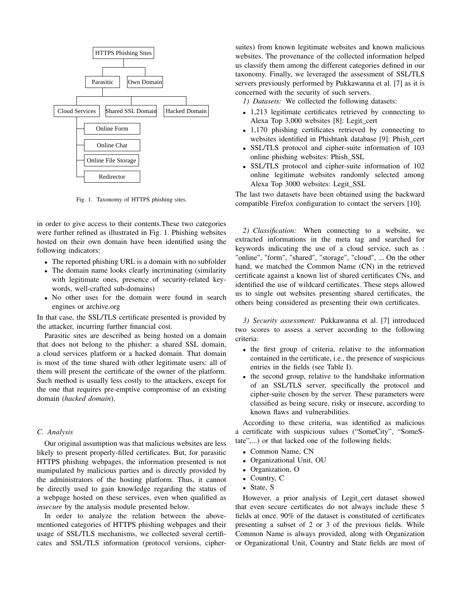

Fig. 1. Taxonomy of HTTPS phishing sites.

in order to give access to their contents.These two categories were further refined as illustrated in Fig. 1. Phishing websites hosted on their own domain have been identified using the following indicators:

- The reported phishing URL is a domain with no subfolder
- The domain name looks clearly incriminating (similarity with legitimate ones, presence of security-related keywords, well-crafted sub-domains)
- No other uses for the domain were found in search engines or archive.org

In that case, the SSL/TLS certificate presented is provided by the attacker, incurring further financial cost.

Parasitic sites are described as being hosted on a domain that does not belong to the phisher: a shared SSL domain, a cloud services platform or a hacked domain. That domain is most of the time shared with other legitimate users: all of them will present the certificate of the owner of the platform. Such method is usually less costly to the attackers, except for the one that requires pre-emptive compromise of an existing domain (*hacked domain*).

## *C. Analysis*

Our original assumption was that malicious websites are less likely to present properly-filled certificates. But, for parasitic HTTPS phishing webpages, the information presented is not manipulated by malicious parties and is directly provided by the administrators of the hosting platform. Thus, it cannot be directly used to gain knowledge regarding the status of a webpage hosted on these services, even when qualified as *insecure* by the analysis module presented below.

In order to analyze the relation between the abovementioned categories of HTTPS phishing webpages and their usage of SSL/TLS mechanisms, we collected several certificates and SSL/TLS information (protocol versions, cipher-

suites) from known legitimate websites and known malicious websites. The provenance of the collected information helped us classify them among the different categories defined in our taxonomy. Finally, we leveraged the assessment of SSL/TLS servers previously performed by Pukkawanna et al. [7] as it is concerned with the security of such servers.

*1) Datasets:* We collected the following datasets:

- 1,213 legitimate certificates retrieved by connecting to Alexa Top 3,000 websites [8]: Legit\_cert
- 1,170 phishing certificates retrieved by connecting to websites identified in Phishtank database [9]: Phish\_cert
- SSL/TLS protocol and cipher-suite information of 103 online phishing websites: Phish\_SSL
- SSL/TLS protocol and cipher-suite information of 102 online legitimate websites randomly selected among Alexa Top 3000 websites: Legit\_SSL

The last two datasets have been obtained using the backward compatible Firefox configuration to contact the servers [10].

*2) Classification:* When connecting to a website, we extracted informations in the meta tag and searched for keywords indicating the use of a cloud service, such as : "online", "form", "shared", "storage", "cloud", ... On the other hand, we matched the Common Name (CN) in the retrieved certificate against a known list of shared certificates CNs, and identified the use of wildcard certificates. These steps allowed us to single out websites presenting shared certificates, the others being considered as presenting their own certificates.

*3) Security assessment:* Pukkawanna et al. [7] introduced two scores to assess a server according to the following criteria:

- the first group of criteria, relative to the information contained in the certificate, i.e., the presence of suspicious entries in the fields (see Table I).
- the second group, relative to the handshake information of an SSL/TLS server, specifically the protocol and cipher-suite chosen by the server. These parameters were classified as being secure, risky or insecure, according to known flaws and vulnerabilities.

According to these criteria, was identified as malicious a certificate with suspicious values ("SomeCity", "SomeState",...) or that lacked one of the following fields:

- Common Name, CN
- Organizational Unit, OU
- Organization, O
- Country, C
- State, S

However, a prior analysis of Legit\_cert dataset showed that even secure certificates do not always include these 5 fields at once. 90% of the dataset is constituted of certificates presenting a subset of 2 or 3 of the previous fields. While Common Name is always provided, along with Organization or Organizational Unit, Country and State fields are most of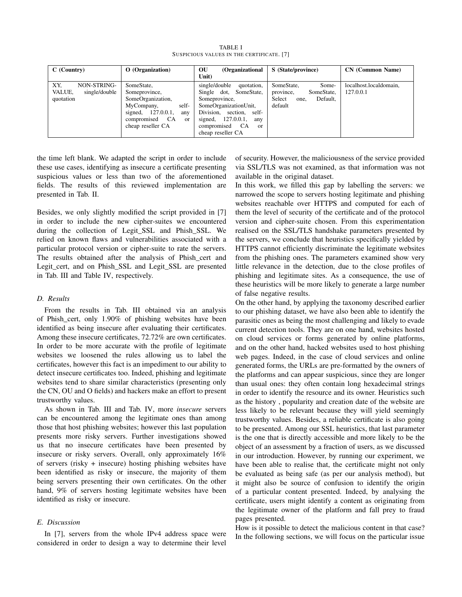| C (Country)                                                       | O (Organization)                                                                                                                                                | OU<br>(Organizational<br>Unit)                                                                                                                                                                              | S (State/province)                                                                      | <b>CN</b> (Common Name)             |
|-------------------------------------------------------------------|-----------------------------------------------------------------------------------------------------------------------------------------------------------------|-------------------------------------------------------------------------------------------------------------------------------------------------------------------------------------------------------------|-----------------------------------------------------------------------------------------|-------------------------------------|
| XY.<br><b>NON-STRING-</b><br>VALUE,<br>single/double<br>quotation | SomeState,<br>Someprovince,<br>SomeOrganization,<br>self-<br>MyCompany,<br>127.0.0.1.<br>signed,<br>any<br>compromised CA<br><sub>or</sub><br>cheap reseller CA | single/double<br>quotation,<br>Single dot,<br>SomeState,<br>Someprovince,<br>SomeOrganizationUnit,<br>Division, section, self-<br>127.0.0.1,<br>signed,<br>any<br>compromised CA<br>or<br>cheap reseller CA | SomeState,<br>Some-<br>SomeState,<br>province,<br>Select<br>Default,<br>one.<br>default | localhost.localdomain,<br>127.0.0.1 |

TABLE I SUSPICIOUS VALUES IN THE CERTIFICATE. [7]

the time left blank. We adapted the script in order to include these use cases, identifying as insecure a certificate presenting suspicious values or less than two of the aforementioned fields. The results of this reviewed implementation are presented in Tab. II.

Besides, we only slightly modified the script provided in [7] in order to include the new cipher-suites we encountered during the collection of Legit\_SSL and Phish\_SSL. We relied on known flaws and vulnerabilities associated with a particular protocol version or cipher-suite to rate the servers. The results obtained after the analysis of Phish\_cert and Legit\_cert, and on Phish\_SSL and Legit\_SSL are presented in Tab. III and Table IV, respectively.

# *D. Results*

From the results in Tab. III obtained via an analysis of Phish\_cert, only 1.90% of phishing websites have been identified as being insecure after evaluating their certificates. Among these insecure certificates, 72.72% are own certificates. In order to be more accurate with the profile of legitimate websites we loosened the rules allowing us to label the certificates, however this fact is an impediment to our ability to detect insecure certificates too. Indeed, phishing and legitimate websites tend to share similar characteristics (presenting only the CN, OU and O fields) and hackers make an effort to present trustworthy values.

As shown in Tab. III and Tab. IV, more *insecure* servers can be encountered among the legitimate ones than among those that host phishing websites; however this last population presents more risky servers. Further investigations showed us that no insecure certificates have been presented by insecure or risky servers. Overall, only approximately 16% of servers (risky + insecure) hosting phishing websites have been identified as risky or insecure, the majority of them being servers presenting their own certificates. On the other hand, 9% of servers hosting legitimate websites have been identified as risky or insecure.

# *E. Discussion*

In [7], servers from the whole IPv4 address space were considered in order to design a way to determine their level of security. However, the maliciousness of the service provided via SSL/TLS was not examined, as that information was not available in the original dataset.

In this work, we filled this gap by labelling the servers: we narrowed the scope to servers hosting legitimate and phishing websites reachable over HTTPS and computed for each of them the level of security of the certificate and of the protocol version and cipher-suite chosen. From this experimentation realised on the SSL/TLS handshake parameters presented by the servers, we conclude that heuristics specifically yielded by HTTPS cannot efficiently discriminate the legitimate websites from the phishing ones. The parameters examined show very little relevance in the detection, due to the close profiles of phishing and legitimate sites. As a consequence, the use of these heuristics will be more likely to generate a large number of false negative results.

On the other hand, by applying the taxonomy described earlier to our phishing dataset, we have also been able to identify the parasitic ones as being the most challenging and likely to evade current detection tools. They are on one hand, websites hosted on cloud services or forms generated by online platforms, and on the other hand, hacked websites used to host phishing web pages. Indeed, in the case of cloud services and online generated forms, the URLs are pre-formatted by the owners of the platforms and can appear suspicious, since they are longer than usual ones: they often contain long hexadecimal strings in order to identify the resource and its owner. Heuristics such as the history , popularity and creation date of the website are less likely to be relevant because they will yield seemingly trustworthy values. Besides, a reliable certificate is also going to be presented. Among our SSL heuristics, that last parameter is the one that is directly accessible and more likely to be the object of an assessment by a fraction of users, as we discussed in our introduction. However, by running our experiment, we have been able to realise that, the certificate might not only be evaluated as being safe (as per our analysis method), but it might also be source of confusion to identify the origin of a particular content presented. Indeed, by analysing the certificate, users might identify a content as originating from the legitimate owner of the platform and fall prey to fraud pages presented.

How is it possible to detect the malicious content in that case? In the following sections, we will focus on the particular issue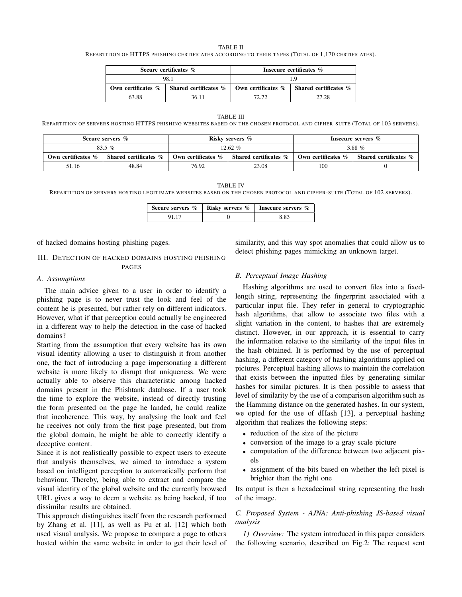TABLE II REPARTITION OF HTTPS PHISHING CERTIFICATES ACCORDING TO THEIR TYPES (TOTAL OF 1,170 CERTIFICATES).

|       | Secure certificates %                                                    | Insecure certificates % |                                      |  |
|-------|--------------------------------------------------------------------------|-------------------------|--------------------------------------|--|
|       | 98.1                                                                     |                         |                                      |  |
|       | Own certificates $\%$   Shared certificates $\%$   Own certificates $\%$ |                         | $\parallel$ Shared certificates $\%$ |  |
| 63.88 | 36 11                                                                    | 72.72                   | 27.28                                |  |

#### TABLE III

REPARTITION OF SERVERS HOSTING HTTPS PHISHING WEBSITES BASED ON THE CHOSEN PROTOCOL AND CIPHER-SUITE (TOTAL OF 103 SERVERS).

| Secure servers %   |                       | Risky servers %    |                       | Insecure servers % |                       |
|--------------------|-----------------------|--------------------|-----------------------|--------------------|-----------------------|
| $83.5\%$           |                       | 12.62 $%$          |                       | 3.88 $%$           |                       |
| Own certificates % | Shared certificates % | Own certificates % | Shared certificates % | Own certificates % | Shared certificates % |
| 51.16              | 48.84                 | 76.92              | 23.08                 | 100                |                       |

#### TABLE IV

REPARTITION OF SERVERS HOSTING LEGITIMATE WEBSITES BASED ON THE CHOSEN PROTOCOL AND CIPHER-SUITE (TOTAL OF 102 SERVERS).

|  | Secure servers $\%$   Risky servers $\%$   Insecure servers $\%$ |
|--|------------------------------------------------------------------|
|  | 8.83                                                             |

of hacked domains hosting phishing pages.

# III. DETECTION OF HACKED DOMAINS HOSTING PHISHING PAGES

#### *A. Assumptions*

The main advice given to a user in order to identify a phishing page is to never trust the look and feel of the content he is presented, but rather rely on different indicators. However, what if that perception could actually be engineered in a different way to help the detection in the case of hacked domains?

Starting from the assumption that every website has its own visual identity allowing a user to distinguish it from another one, the fact of introducing a page impersonating a different website is more likely to disrupt that uniqueness. We were actually able to observe this characteristic among hacked domains present in the Phishtank database. If a user took the time to explore the website, instead of directly trusting the form presented on the page he landed, he could realize that incoherence. This way, by analysing the look and feel he receives not only from the first page presented, but from the global domain, he might be able to correctly identify a deceptive content.

Since it is not realistically possible to expect users to execute that analysis themselves, we aimed to introduce a system based on intelligent perception to automatically perform that behaviour. Thereby, being able to extract and compare the visual identity of the global website and the currently browsed URL gives a way to deem a website as being hacked, if too dissimilar results are obtained.

This approach distinguishes itself from the research performed by Zhang et al. [11], as well as Fu et al. [12] which both used visual analysis. We propose to compare a page to others hosted within the same website in order to get their level of similarity, and this way spot anomalies that could allow us to detect phishing pages mimicking an unknown target.

## *B. Perceptual Image Hashing*

Hashing algorithms are used to convert files into a fixedlength string, representing the fingerprint associated with a particular input file. They refer in general to cryptographic hash algorithms, that allow to associate two files with a slight variation in the content, to hashes that are extremely distinct. However, in our approach, it is essential to carry the information relative to the similarity of the input files in the hash obtained. It is performed by the use of perceptual hashing, a different category of hashing algorithms applied on pictures. Perceptual hashing allows to maintain the correlation that exists between the inputted files by generating similar hashes for similar pictures. It is then possible to assess that level of similarity by the use of a comparison algorithm such as the Hamming distance on the generated hashes. In our system, we opted for the use of dHash [13], a perceptual hashing algorithm that realizes the following steps:

- reduction of the size of the picture
- conversion of the image to a gray scale picture
- computation of the difference between two adjacent pixels
- assignment of the bits based on whether the left pixel is brighter than the right one

Its output is then a hexadecimal string representing the hash of the image.

# *C. Proposed System - AJNA: Anti-phishing JS-based visual analysis*

*1) Overview:* The system introduced in this paper considers the following scenario, described on Fig.2: The request sent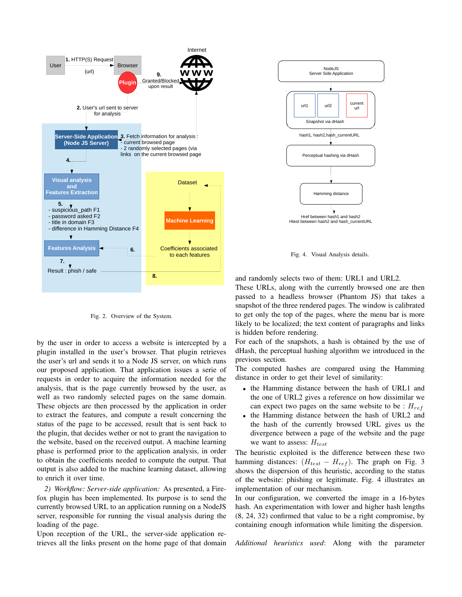

Fig. 2. Overview of the System.

by the user in order to access a website is intercepted by a plugin installed in the user's browser. That plugin retrieves the user's url and sends it to a Node JS server, on which runs our proposed application. That application issues a serie of requests in order to acquire the information needed for the analysis, that is the page currently browsed by the user, as well as two randomly selected pages on the same domain. These objects are then processed by the application in order to extract the features, and compute a result concerning the status of the page to be accessed, result that is sent back to the plugin, that decides wether or not to grant the navigation to the website, based on the received output. A machine learning phase is performed prior to the application analysis, in order to obtain the coefficients needed to compute the output. That output is also added to the machine learning dataset, allowing to enrich it over time.

*2) Workflow: Server-side application:* As presented, a Firefox plugin has been implemented. Its purpose is to send the currently browsed URL to an application running on a NodeJS server, responsible for running the visual analysis during the loading of the page.

Upon reception of the URL, the server-side application retrieves all the links present on the home page of that domain



Fig. 4. Visual Analysis details.

and randomly selects two of them: URL1 and URL2.

These URLs, along with the currently browsed one are then passed to a headless browser (Phantom JS) that takes a snapshot of the three rendered pages. The window is calibrated to get only the top of the pages, where the menu bar is more likely to be localized; the text content of paragraphs and links is hidden before rendering.

For each of the snapshots, a hash is obtained by the use of dHash, the perceptual hashing algorithm we introduced in the previous section.

The computed hashes are compared using the Hamming distance in order to get their level of similarity:

- the Hamming distance between the hash of URL1 and the one of URL2 gives a reference on how dissimilar we can expect two pages on the same website to be :  $H_{ref}$
- the Hamming distance between the hash of URL2 and the hash of the currently browsed URL gives us the divergence between a page of the website and the page we want to assess:  $H_{test}$

The heuristic exploited is the difference between these two hamming distances:  $(H_{test} - H_{ref})$ . The graph on Fig. 3 shows the dispersion of this heuristic, according to the status of the website: phishing or legitimate. Fig. 4 illustrates an implementation of our mechanism.

In our configuration, we converted the image in a 16-bytes hash. An experimentation with lower and higher hash lengths (8, 24, 32) confirmed that value to be a right compromise, by containing enough information while limiting the dispersion.

*Additional heuristics used*: Along with the parameter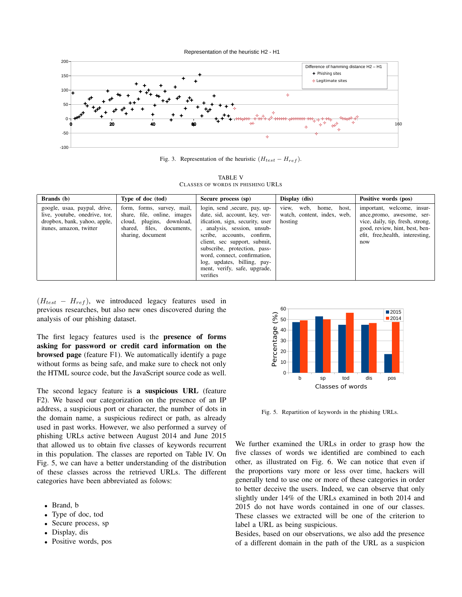Representation of the heuristic H2 - H1



Fig. 3. Representation of the heuristic  $(H_{test} - H_{ref})$ .

TABLE V CLASSES OF WORDS IN PHISHING URLS

| Brands (b)                                                                                                               | Type of doc (tod)                                                                                                                        | Secure process (sp)                                                                                                                                                                                                                                                                                                                      | Display (dis)                                                             | Positive words (pos)                                                                                                                                                      |
|--------------------------------------------------------------------------------------------------------------------------|------------------------------------------------------------------------------------------------------------------------------------------|------------------------------------------------------------------------------------------------------------------------------------------------------------------------------------------------------------------------------------------------------------------------------------------------------------------------------------------|---------------------------------------------------------------------------|---------------------------------------------------------------------------------------------------------------------------------------------------------------------------|
| google, usaa, paypal, drive,<br>live, youtube, onedrive, tor,<br>dropbox, bank, yahoo, apple,<br>itunes, amazon, twitter | form, forms, survey, mail.<br>share, file, online, images<br>cloud, plugins, download,<br>shared, files, documents,<br>sharing, document | login, send , secure, pay, up-<br>date, sid, account, key, ver-<br>ification, sign, security, user<br>analysis, session, unsub-<br>scribe, accounts, confirm,<br>client, sec support, submit,<br>subscribe, protection, pass-<br>word, connect, confirmation,<br>log, updates, billing, pay-<br>ment, verify, safe, upgrade,<br>verifies | web,<br>host,<br>home,<br>view.<br>watch, content, index, web,<br>hosting | important, welcome, insur-<br>ance, promo, awesome, ser-<br>vice, daily, tip, fresh, strong,<br>good, review, hint, best, ben-<br>efit, free, health, interesting,<br>now |

 $(H_{test} - H_{ref})$ , we introduced legacy features used in previous researches, but also new ones discovered during the analysis of our phishing dataset.

The first legacy features used is the presence of forms asking for password or credit card information on the browsed page (feature F1). We automatically identify a page without forms as being safe, and make sure to check not only the HTML source code, but the JavaScript source code as well.

The second legacy feature is a suspicious URL (feature F2). We based our categorization on the presence of an IP address, a suspicious port or character, the number of dots in the domain name, a suspicious redirect or path, as already used in past works. However, we also performed a survey of phishing URLs active between August 2014 and June 2015 that allowed us to obtain five classes of keywords recurrent in this population. The classes are reported on Table IV. On Fig. 5, we can have a better understanding of the distribution of these classes across the retrieved URLs. The different categories have been abbreviated as folows:

- Brand, b
- Type of doc, tod
- Secure process, sp
- Display, dis
- Positive words, pos



Fig. 5. Repartition of keywords in the phishing URLs.

We further examined the URLs in order to grasp how the five classes of words we identified are combined to each other, as illustrated on Fig. 6. We can notice that even if the proportions vary more or less over time, hackers will generally tend to use one or more of these categories in order to better deceive the users. Indeed, we can observe that only slightly under 14% of the URLs examined in both 2014 and 2015 do not have words contained in one of our classes. These classes we extracted will be one of the criterion to label a URL as being suspicious.

Besides, based on our observations, we also add the presence of a different domain in the path of the URL as a suspicion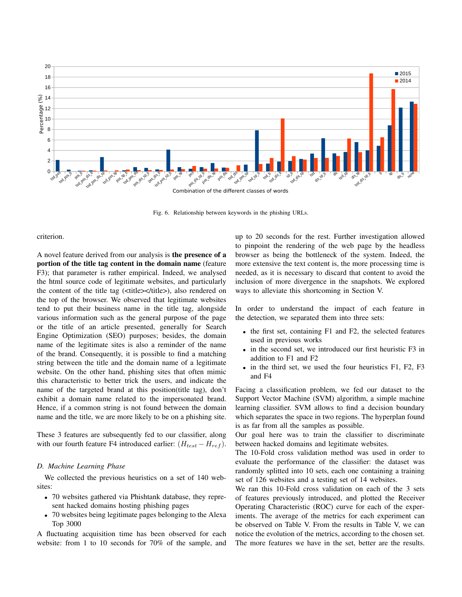

Fig. 6. Relationship between keywords in the phishing URLs.

criterion.

A novel feature derived from our analysis is the presence of a portion of the title tag content in the domain name (feature F3); that parameter is rather empirical. Indeed, we analysed the html source code of legitimate websites, and particularly the content of the title tag (<title></title>), also rendered on the top of the browser. We observed that legitimate websites tend to put their business name in the title tag, alongside various information such as the general purpose of the page or the title of an article presented, generally for Search Engine Optimization (SEO) purposes; besides, the domain name of the legitimate sites is also a reminder of the name of the brand. Consequently, it is possible to find a matching string between the title and the domain name of a legitimate website. On the other hand, phishing sites that often mimic this characteristic to better trick the users, and indicate the name of the targeted brand at this position(title tag), don't exhibit a domain name related to the impersonated brand. Hence, if a common string is not found between the domain name and the title, we are more likely to be on a phishing site.

These 3 features are subsequently fed to our classifier, along with our fourth feature F4 introduced earlier:  $(H_{test} - H_{ref})$ .

# *D. Machine Learning Phase*

We collected the previous heuristics on a set of 140 websites:

- 70 websites gathered via Phishtank database, they represent hacked domains hosting phishing pages
- 70 websites being legitimate pages belonging to the Alexa Top 3000

A fluctuating acquisition time has been observed for each website: from 1 to 10 seconds for 70% of the sample, and up to 20 seconds for the rest. Further investigation allowed to pinpoint the rendering of the web page by the headless browser as being the bottleneck of the system. Indeed, the more extensive the text content is, the more processing time is needed, as it is necessary to discard that content to avoid the inclusion of more divergence in the snapshots. We explored ways to alleviate this shortcoming in Section V.

In order to understand the impact of each feature in the detection, we separated them into three sets:

- the first set, containing F1 and F2, the selected features used in previous works
- in the second set, we introduced our first heuristic F3 in addition to F1 and F2
- in the third set, we used the four heuristics F1, F2, F3 and F4

Facing a classification problem, we fed our dataset to the Support Vector Machine (SVM) algorithm, a simple machine learning classifier. SVM allows to find a decision boundary which separates the space in two regions. The hyperplan found is as far from all the samples as possible.

Our goal here was to train the classifier to discriminate between hacked domains and legitimate websites.

The 10-Fold cross validation method was used in order to evaluate the performance of the classifier: the dataset was randomly splitted into 10 sets, each one containing a training set of 126 websites and a testing set of 14 websites.

We ran this 10-Fold cross validation on each of the 3 sets of features previously introduced, and plotted the Receiver Operating Characteristic (ROC) curve for each of the experiments. The average of the metrics for each experiment can be observed on Table V. From the results in Table V, we can notice the evolution of the metrics, according to the chosen set. The more features we have in the set, better are the results.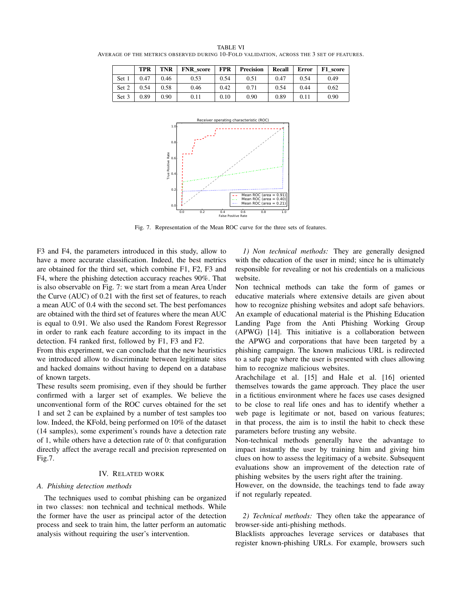TPR TNR | FNR\_score | FPR | Precision | Recall | Error | F1\_score Set 1 | 0.47 | 0.46 | 0.53 | 0.54 | 0.51 | 0.47 | 0.54 | 0.49 Set 2 | 0.54 | 0.58 | 0.46 | 0.42 | 0.71 | 0.54 | 0.44 | 0.62 Set 3 | 0.89 | 0.90 | 0.11 | 0.10 | 0.90 | 0.89 | 0.11 | 0.90



Fig. 7. Representation of the Mean ROC curve for the three sets of features.

F3 and F4, the parameters introduced in this study, allow to have a more accurate classification. Indeed, the best metrics are obtained for the third set, which combine F1, F2, F3 and F4, where the phishing detection accuracy reaches 90%. That is also observable on Fig. 7: we start from a mean Area Under the Curve (AUC) of 0.21 with the first set of features, to reach a mean AUC of 0.4 with the second set. The best perfomances are obtained with the third set of features where the mean AUC is equal to 0.91. We also used the Random Forest Regressor in order to rank each feature according to its impact in the detection. F4 ranked first, followed by F1, F3 and F2.

From this experiment, we can conclude that the new heuristics we introduced allow to discriminate between legitimate sites and hacked domains without having to depend on a database of known targets.

These results seem promising, even if they should be further confirmed with a larger set of examples. We believe the unconventional form of the ROC curves obtained for the set 1 and set 2 can be explained by a number of test samples too low. Indeed, the KFold, being performed on 10% of the dataset (14 samples), some experiment's rounds have a detection rate of 1, while others have a detection rate of 0: that configuration directly affect the average recall and precision represented on Fig.7.

## IV. RELATED WORK

### *A. Phishing detection methods*

The techniques used to combat phishing can be organized in two classes: non technical and technical methods. While the former have the user as principal actor of the detection process and seek to train him, the latter perform an automatic analysis without requiring the user's intervention.

*1) Non technical methods:* They are generally designed with the education of the user in mind; since he is ultimately responsible for revealing or not his credentials on a malicious website.

Non technical methods can take the form of games or educative materials where extensive details are given about how to recognize phishing websites and adopt safe behaviors. An example of educational material is the Phishing Education Landing Page from the Anti Phishing Working Group (APWG) [14]. This initiative is a collaboration between the APWG and corporations that have been targeted by a phishing campaign. The known malicious URL is redirected to a safe page where the user is presented with clues allowing him to recognize malicious websites.

Arachchilage et al. [15] and Hale et al. [16] oriented themselves towards the game approach. They place the user in a fictitious environment where he faces use cases designed to be close to real life ones and has to identify whether a web page is legitimate or not, based on various features; in that process, the aim is to instil the habit to check these parameters before trusting any website.

Non-technical methods generally have the advantage to impact instantly the user by training him and giving him clues on how to assess the legitimacy of a website. Subsequent evaluations show an improvement of the detection rate of phishing websites by the users right after the training.

However, on the downside, the teachings tend to fade away if not regularly repeated.

*2) Technical methods:* They often take the appearance of browser-side anti-phishing methods.

Blacklists approaches leverage services or databases that register known-phishing URLs. For example, browsers such

TABLE VI AVERAGE OF THE METRICS OBSERVED DURING 10-FOLD VALIDATION, ACROSS THE 3 SET OF FEATURES.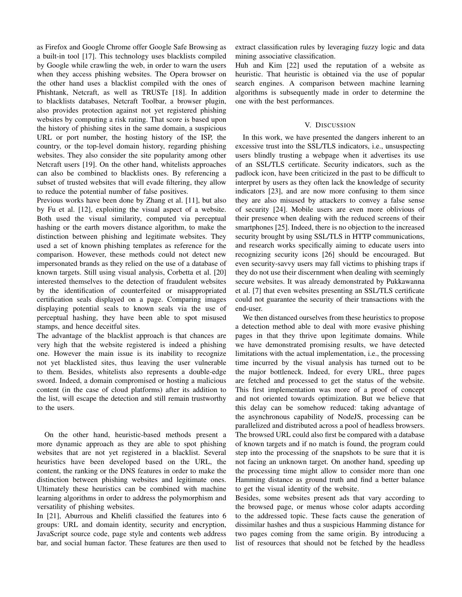as Firefox and Google Chrome offer Google Safe Browsing as a built-in tool [17]. This technology uses blacklists compiled by Google while crawling the web, in order to warn the users when they access phishing websites. The Opera browser on the other hand uses a blacklist compiled with the ones of Phishtank, Netcraft, as well as TRUSTe [18]. In addition to blacklists databases, Netcraft Toolbar, a browser plugin, also provides protection against not yet registered phishing websites by computing a risk rating. That score is based upon the history of phishing sites in the same domain, a suspicious URL or port number, the hosting history of the ISP, the country, or the top-level domain history, regarding phishing websites. They also consider the site popularity among other Netcraft users [19]. On the other hand, whitelists approaches can also be combined to blacklists ones. By referencing a subset of trusted websites that will evade filtering, they allow to reduce the potential number of false positives.

Previous works have been done by Zhang et al. [11], but also by Fu et al. [12], exploiting the visual aspect of a website. Both used the visual similarity, computed via perceptual hashing or the earth movers distance algorithm, to make the distinction between phishing and legitimate websites. They used a set of known phishing templates as reference for the comparison. However, these methods could not detect new impersonated brands as they relied on the use of a database of known targets. Still using visual analysis, Corbetta et al. [20] interested themselves to the detection of fraudulent websites by the identification of counterfeited or misappropriated certification seals displayed on a page. Comparing images displaying potential seals to known seals via the use of perceptual hashing, they have been able to spot misused stamps, and hence deceitful sites.

The advantage of the blacklist approach is that chances are very high that the website registered is indeed a phishing one. However the main issue is its inability to recognize not yet blacklisted sites, thus leaving the user vulnerable to them. Besides, whitelists also represents a double-edge sword. Indeed, a domain compromised or hosting a malicious content (in the case of cloud platforms) after its addition to the list, will escape the detection and still remain trustworthy to the users.

On the other hand, heuristic-based methods present a more dynamic approach as they are able to spot phishing websites that are not yet registered in a blacklist. Several heuristics have been developed based on the URL, the content, the ranking or the DNS features in order to make the distinction between phishing websites and legitimate ones. Ultimately these heuristics can be combined with machine learning algorithms in order to address the polymorphism and versatility of phishing websites.

In [21], Aburrous and Khelifi classified the features into 6 groups: URL and domain identity, security and encryption, JavaScript source code, page style and contents web address bar, and social human factor. These features are then used to extract classification rules by leveraging fuzzy logic and data mining associative classification.

Huh and Kim [22] used the reputation of a website as heuristic. That heuristic is obtained via the use of popular search engines. A comparison between machine learning algorithms is subsequently made in order to determine the one with the best performances.

## V. DISCUSSION

In this work, we have presented the dangers inherent to an excessive trust into the SSL/TLS indicators, i.e., unsuspecting users blindly trusting a webpage when it advertises its use of an SSL/TLS certificate. Security indicators, such as the padlock icon, have been criticized in the past to be difficult to interpret by users as they often lack the knowledge of security indicators [23], and are now more confusing to them since they are also misused by attackers to convey a false sense of security [24]. Mobile users are even more oblivious of their presence when dealing with the reduced screens of their smartphones [25]. Indeed, there is no objection to the increased security brought by using SSL/TLS in HTTP communications, and research works specifically aiming to educate users into recognizing security icons [26] should be encouraged. But even security-savvy users may fall victims to phishing traps if they do not use their discernment when dealing with seemingly secure websites. It was already demonstrated by Pukkawanna et al. [7] that even websites presenting an SSL/TLS certificate could not guarantee the security of their transactions with the end-user.

We then distanced ourselves from these heuristics to propose a detection method able to deal with more evasive phishing pages in that they thrive upon legitimate domains. While we have demonstrated promising results, we have detected limitations with the actual implementation, i.e., the processing time incurred by the visual analysis has turned out to be the major bottleneck. Indeed, for every URL, three pages are fetched and processed to get the status of the website. This first implementation was more of a proof of concept and not oriented towards optimization. But we believe that this delay can be somehow reduced: taking advantage of the asynchronous capability of NodeJS, processing can be parallelized and distributed across a pool of headless browsers. The browsed URL could also first be compared with a database of known targets and if no match is found, the program could step into the processing of the snapshots to be sure that it is not facing an unknown target. On another hand, speeding up the processing time might allow to consider more than one Hamming distance as ground truth and find a better balance to get the visual identity of the website.

Besides, some websites present ads that vary according to the browsed page, or menus whose color adapts according to the addressed topic. These facts cause the generation of dissimilar hashes and thus a suspicious Hamming distance for two pages coming from the same origin. By introducing a list of resources that should not be fetched by the headless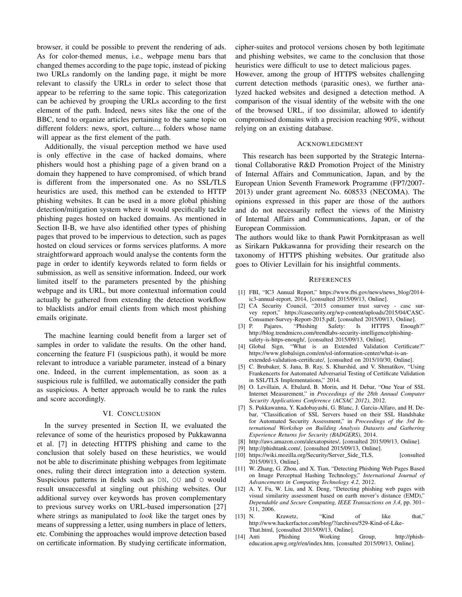browser, it could be possible to prevent the rendering of ads. As for color-themed menus, i.e., webpage menu bars that changed themes according to the page topic, instead of picking two URLs randomly on the landing page, it might be more relevant to classify the URLs in order to select those that appear to be referring to the same topic. This categorization can be achieved by grouping the URLs according to the first element of the path. Indeed, news sites like the one of the BBC, tend to organize articles pertaining to the same topic on different folders: news, sport, culture..., folders whose name will appear as the first element of the path.

Additionally, the visual perception method we have used is only effective in the case of hacked domains, where phishers would host a phishing page of a given brand on a domain they happened to have compromised, of which brand is different from the impersonated one. As no SSL/TLS heuristics are used, this method can be extended to HTTP phishing websites. It can be used in a more global phishing detection/mitigation system where it would specifically tackle phishing pages hosted on hacked domains. As mentioned in Section II-B, we have also identified other types of phishing pages that proved to be impervious to detection, such as pages hosted on cloud services or forms services platforms. A more straightforward approach would analyse the contents form the page in order to identify keywords related to form fields or submission, as well as sensitive information. Indeed, our work limited itself to the parameters presented by the phishing webpage and its URL, but more contextual information could actually be gathered from extending the detection workflow to blacklists and/or email clients from which most phishing emails originate.

The machine learning could benefit from a larger set of samples in order to validate the results. On the other hand, concerning the feature F1 (suspicious path), it would be more relevant to introduce a variable parameter, instead of a binary one. Indeed, in the current implementation, as soon as a suspicious rule is fulfilled, we automatically consider the path as suspicious. A better approach would be to rank the rules and score accordingly.

#### VI. CONCLUSION

In the survey presented in Section II, we evaluated the relevance of some of the heuristics proposed by Pukkawanna et al. [7] in detecting HTTPS phishing and came to the conclusion that solely based on these heuristics, we would not be able to discriminate phishing webpages from legitimate ones, ruling their direct integration into a detection system. Suspicious patterns in fields such as DN, OU and O would result unsuccessful at singling out phishing websites. Our additional survey over keywords has proven complementary to previous survey works on URL-based impersonation [27] where strings as manipulated to *look* like the target ones by means of suppressing a letter, using numbers in place of letters, etc. Combining the approaches would improve detection based on certificate information. By studying certificate information,

cipher-suites and protocol versions chosen by both legitimate and phishing websites, we came to the conclusion that those heuristics were difficult to use to detect malicious pages.

However, among the group of HTTPS websites challenging current detection methods (parasitic ones), we further analyzed hacked websites and designed a detection method. A comparison of the visual identity of the website with the one of the browsed URL, if too dissimilar, allowed to identify compromised domains with a precision reaching 90%, without relying on an existing database.

#### ACKNOWLEDGMENT

This research has been supported by the Strategic International Collaborative R&D Promotion Project of the Ministry of Internal Affairs and Communication, Japan, and by the European Union Seventh Framework Programme (FP7/2007- 2013) under grant agreement No. 608533 (NECOMA). The opinions expressed in this paper are those of the authors and do not necessarily reflect the views of the Ministry of Internal Affairs and Communications, Japan, or of the European Commission.

The authors would like to thank Pawit Pornkitprasan as well as Sirikarn Pukkawanna for providing their research on the taxonomy of HTTPS phishing websites. Our gratitude also goes to Olivier Levillain for his insightful comments.

#### **REFERENCES**

- [1] FBI, "IC3 Annual Report," https://www.fbi.gov/news/news\_blog/2014 ic3-annual-report, 2014, [consulted 2015/09/13, Online].
- [2] CA Security Council, "2015 consumer trust survey casc survey report," https://casecurity.org/wp-content/uploads/2015/04/CASC-Consumer-Survey-Report-2015.pdf, [consulted 2015/09/13, Online].
- [3] P. Pajares, "Phishing Safety: Is HTTPS Enough?" http://blog.trendmicro.com/trendlabs-security-intelligence/phishingsafety-is-https-enough/, [consulted 2015/09/13, Online].
- [4] Global Sign, "What is an Extended Validation Certificate?" https://www.globalsign.com/en/ssl-information-center/what-is-anextended-validation-certificate/, [consulted on 2015/10/30, Online].
- [5] C. Brubaker, S. Jana, B. Ray, S. Khurshid, and V. Shmatikov, "Using Frankencerts for Automated Adversarial Testing of Certificate Validation in SSL/TLS Implementations," 2014.
- [6] O. Levillain, A. Ebalard, B. Morin, and H. Debar, "One Year of SSL Internet Measurement," in *Proceedings of the 28th Annual Computer Security Applications Conference (ACSAC 2012)*, 2012.
- [7] S. Pukkawanna, Y. Kadobayashi, G. Blanc, J. Garcia-Alfaro, and H. Debar, "Classification of SSL Servers based on their SSL Handshake for Automated Security Assessment," in *Proceedings of the 3rd International Workshop on Building Analysis Datasets and Gathering Experience Returns for Security (BADGERS)*, 2014.
- [8] http://aws.amazon.com/alexatopsites/, [consulted 2015/09/13, Online].
- [9] http://phishtank.com/, [consulted 2015/09/13, Online].
- [10] https://wiki.mozilla.org/Security/Server\_Side\_TLS, [consulted 2015/09/13, Online].
- [11] W. Zhang, G. Zhou, and X. Tian, "Detecting Phishing Web Pages Based on Image Perceptual Hashing Technology," *International Journal of Advancements in Computing Technology 4.2*, 2012.
- [12] A. Y. Fu, W. Liu, and X. Deng, "Detecting phishing web pages with visual similarity assessment based on earth mover's distance (EMD)," *Dependable and Secure Computing, IEEE Transactions on 3.4*, pp. 301– 311, 2006.
- [13] N. Krawetz, "Kind of like that," http://www.hackerfactor.com/blog/?/archives/529-Kind-of-Like-That.html, [consulted 2015/09/13, Online].
- [14] Anti Phishing Working Group, http://phisheducation.apwg.org/r/en/index.htm, [consulted 2015/09/13, Online].